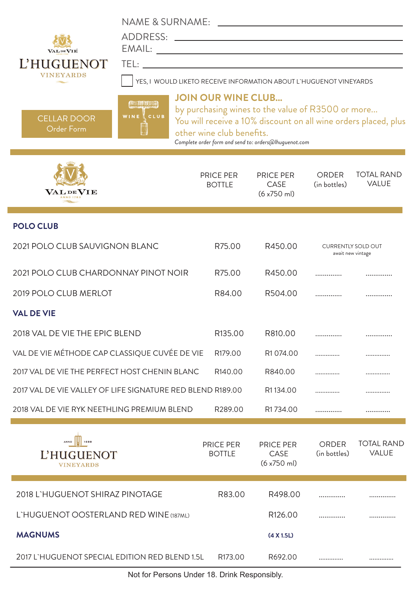| <b>VALDEVIE</b><br>L'HUGUENOT<br><b>VINEYARDS</b><br><b>CELLAR DOOR</b><br><b>Order Form</b> | NAME & SURNAME:<br>ADDRESS:<br>TEL:<br>YES, I WOULD LIKETO RECEIVE INFORMATION ABOUT L'HUGUENOT VINEYARDS<br><b>ALTER</b><br>WINE CLUB | <b>JOIN OUR WINE CLUB</b><br>other wine club benefits. | <u> 1980 - Johann John Stein, fransk politik (f. 1980)</u><br><u> 1989 - Johann Harry Barn, mars ar breist fan de Amerikaansk kommunent fan de Amerikaanske kommunent fan de A</u><br>by purchasing wines to the value of R3500 or more<br>You will receive a 10% discount on all wine orders placed, plus<br>Complete order form and send to: orders@lhuguenot.com |                                                |                                   |
|----------------------------------------------------------------------------------------------|----------------------------------------------------------------------------------------------------------------------------------------|--------------------------------------------------------|---------------------------------------------------------------------------------------------------------------------------------------------------------------------------------------------------------------------------------------------------------------------------------------------------------------------------------------------------------------------|------------------------------------------------|-----------------------------------|
| $\mathbf{V}\mathbf{A}\mathbf{L}\mathbf{D}\mathbf{E}\mathbf{V}\mathbf{I}\mathbf{E}$           |                                                                                                                                        | <b>PRICE PER</b><br><b>BOTTLE</b>                      | <b>PRICE PER</b><br>CASE<br>(6 x750 m)                                                                                                                                                                                                                                                                                                                              | <b>ORDER</b><br>(in bottles)                   | <b>TOTAL RAND</b><br><b>VALUE</b> |
| <b>POLO CLUB</b>                                                                             |                                                                                                                                        |                                                        |                                                                                                                                                                                                                                                                                                                                                                     |                                                |                                   |
| 2021 POLO CLUB SAUVIGNON BLANC                                                               |                                                                                                                                        | R75.00                                                 | R450.00                                                                                                                                                                                                                                                                                                                                                             | <b>CURRENTLY SOLD OUT</b><br>await new vintage |                                   |
| 2021 POLO CLUB CHARDONNAY PINOT NOIR                                                         |                                                                                                                                        | R75.00                                                 | R450.00                                                                                                                                                                                                                                                                                                                                                             |                                                |                                   |
| 2019 POLO CLUB MERLOT                                                                        |                                                                                                                                        | R84.00                                                 | R504.00                                                                                                                                                                                                                                                                                                                                                             |                                                |                                   |
| <b>VAL DE VIE</b>                                                                            |                                                                                                                                        |                                                        |                                                                                                                                                                                                                                                                                                                                                                     |                                                |                                   |
| 2018 VAL DE VIE THE EPIC BLEND                                                               |                                                                                                                                        | R <sub>135.00</sub>                                    | R810.00                                                                                                                                                                                                                                                                                                                                                             |                                                | .                                 |
| VAL DE VIE MÉTHODE CAP CLASSIQUE CUVÉE DE VIE                                                |                                                                                                                                        | R179.00                                                | R <sub>1</sub> 074.00                                                                                                                                                                                                                                                                                                                                               |                                                | .                                 |
| 2017 VAL DE VIE THE PERFECT HOST CHENIN BLANC                                                |                                                                                                                                        | R <sub>140.00</sub>                                    | R840.00                                                                                                                                                                                                                                                                                                                                                             |                                                |                                   |
| 2017 VAL DE VIE VALLEY OF LIFE SIGNATURE RED BLEND R189.00                                   |                                                                                                                                        |                                                        | R1134.00                                                                                                                                                                                                                                                                                                                                                            | .                                              |                                   |
| 2018 VAL DE VIE RYK NEETHLING PREMIUM BLEND                                                  |                                                                                                                                        | R289.00                                                | R1734.00                                                                                                                                                                                                                                                                                                                                                            |                                                |                                   |
| ANNO 1688<br><b>L'HUGUENOT</b><br><b>VINEYARDS</b>                                           |                                                                                                                                        | PRICE PER<br><b>BOTTLE</b>                             | <b>PRICE PER</b><br>CASE<br>$(6x750$ ml)                                                                                                                                                                                                                                                                                                                            | ORDER<br>(in bottles)                          | <b>TOTAL RAND</b><br>VALUE        |
| 2018 L'HUGUENOT SHIRAZ PINOTAGE                                                              |                                                                                                                                        | R83.00                                                 | R498.00                                                                                                                                                                                                                                                                                                                                                             | .                                              |                                   |
| L'HUGUENOT OOSTERLAND RED WINE (187ML)                                                       |                                                                                                                                        |                                                        | R <sub>126.00</sub>                                                                                                                                                                                                                                                                                                                                                 |                                                |                                   |
| <b>MAGNUMS</b>                                                                               |                                                                                                                                        |                                                        | (4 X 1.5L)                                                                                                                                                                                                                                                                                                                                                          |                                                |                                   |
| 2017 L'HUGUENOT SPECIAL EDITION RED BLEND 1.5L                                               |                                                                                                                                        | R173.00                                                | R692.00                                                                                                                                                                                                                                                                                                                                                             | .                                              |                                   |

Not for Persons Under 18. Drink Responsibly.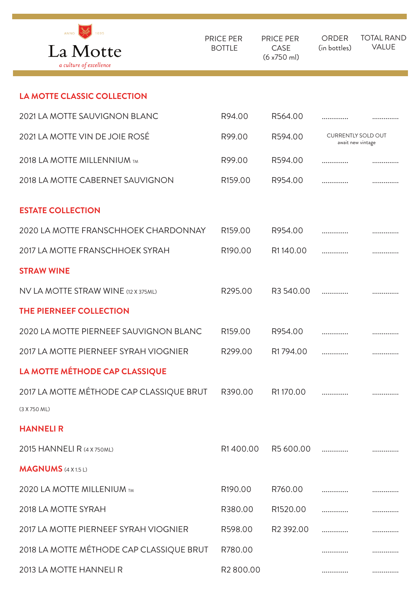| ANNO<br>1695<br>La Motte<br>a culture of excellence | <b>PRICE PER</b><br><b>BOTTLE</b> | <b>PRICE PER</b><br>CASE<br>$(6x750$ ml) | <b>ORDER</b><br>(in bottles)                   | <b>TOTAL RAND</b><br><b>VALUE</b> |
|-----------------------------------------------------|-----------------------------------|------------------------------------------|------------------------------------------------|-----------------------------------|
| <b>LA MOTTE CLASSIC COLLECTION</b>                  |                                   |                                          |                                                |                                   |
| 2021 LA MOTTE SAUVIGNON BLANC                       | R94.00                            | R564.00                                  | .                                              |                                   |
| 2021 LA MOTTE VIN DE JOIE ROSÉ                      | R99.00                            | R594.00                                  | <b>CURRENTLY SOLD OUT</b><br>await new vintage |                                   |
| 2018 LA MOTTE MILLENNIUM TM                         | R99.00                            | R594.00                                  | .                                              |                                   |
| 2018 LA MOTTE CABERNET SAUVIGNON                    | R <sub>159.00</sub>               | R954.00                                  | .                                              |                                   |
| <b>ESTATE COLLECTION</b>                            |                                   |                                          |                                                |                                   |
| 2020 LA MOTTE FRANSCHHOEK CHARDONNAY                | R <sub>159.00</sub>               | R954.00                                  | .                                              |                                   |
| 2017 LA MOTTE FRANSCHHOEK SYRAH                     | R <sub>190.00</sub>               | R1140.00                                 | .                                              |                                   |
| <b>STRAW WINE</b>                                   |                                   |                                          |                                                |                                   |
| NV LA MOTTE STRAW WINE (12 X 375ML)                 | R295.00                           | R3540.00                                 | .                                              | .                                 |
| THE PIERNEEF COLLECTION                             |                                   |                                          |                                                |                                   |
| 2020 LA MOTTE PIERNEEF SAUVIGNON BLANC              | R <sub>159.00</sub>               | R954.00                                  | .                                              |                                   |
| 2017 LA MOTTE PIERNEEF SYRAH VIOGNIER               | R299.00                           | R1794.00                                 | .                                              | .                                 |
| LA MOTTE MÉTHODE CAP CLASSIQUE                      |                                   |                                          |                                                |                                   |
| 2017 LA MOTTE MÉTHODE CAP CLASSIQUE BRUT            | R390.00                           | R1170.00                                 | .                                              | .                                 |
| (3 X 750 ML)                                        |                                   |                                          |                                                |                                   |
| <b>HANNELIR</b>                                     |                                   |                                          |                                                |                                   |
| 2015 HANNELI R (4 X 750ML)                          | R1400.00                          | R5600.00                                 |                                                |                                   |
| <b>MAGNUMS</b> (4 X 1.5 L)                          |                                   |                                          |                                                |                                   |
| 2020 LA MOTTE MILLENIUM TM                          | R <sub>190.00</sub>               | R760.00                                  | .                                              |                                   |
| 2018 LA MOTTE SYRAH                                 | R380.00                           | R1520.00                                 | .                                              | .                                 |
| 2017 LA MOTTE PIERNEEF SYRAH VIOGNIER               | R598.00                           | R <sub>2</sub> 392.00                    |                                                |                                   |
| 2018 LA MOTTE MÉTHODE CAP CLASSIQUE BRUT            | R780.00                           |                                          | .                                              | .                                 |
| 2013 LA MOTTE HANNELI R                             | R <sub>2</sub> 800.00             |                                          |                                                |                                   |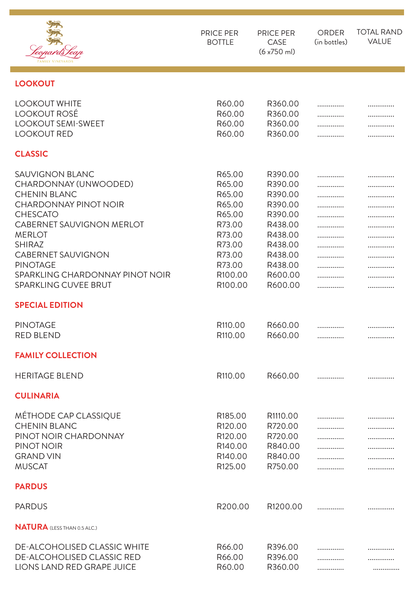|                                                                                                                                                                                                                                                                                                                   | PRICE PER<br><b>BOTTLE</b>                                                                                             | <b>PRICE PER</b><br>CASE<br>(6 x750 m)                                                                                           | <b>ORDER</b><br>(in bottles) | <b>TOTAL RAND</b><br><b>VALUE</b> |
|-------------------------------------------------------------------------------------------------------------------------------------------------------------------------------------------------------------------------------------------------------------------------------------------------------------------|------------------------------------------------------------------------------------------------------------------------|----------------------------------------------------------------------------------------------------------------------------------|------------------------------|-----------------------------------|
| <b>LOOKOUT</b>                                                                                                                                                                                                                                                                                                    |                                                                                                                        |                                                                                                                                  |                              |                                   |
| <b>LOOKOUT WHITE</b><br><b>LOOKOUT ROSÉ</b><br><b>LOOKOUT SEMI-SWEET</b><br><b>LOOKOUT RED</b>                                                                                                                                                                                                                    | R60.00<br>R60.00<br>R60.00<br>R60.00                                                                                   | R360.00<br>R360.00<br>R360.00<br>R360.00                                                                                         | .<br>.                       |                                   |
| <b>CLASSIC</b>                                                                                                                                                                                                                                                                                                    |                                                                                                                        |                                                                                                                                  |                              |                                   |
| <b>SAUVIGNON BLANC</b><br>CHARDONNAY (UNWOODED)<br><b>CHENIN BLANC</b><br><b>CHARDONNAY PINOT NOIR</b><br><b>CHESCATO</b><br><b>CABERNET SAUVIGNON MERLOT</b><br><b>MERLOT</b><br><b>SHIRAZ</b><br><b>CABERNET SAUVIGNON</b><br><b>PINOTAGE</b><br>SPARKLING CHARDONNAY PINOT NOIR<br><b>SPARKLING CUVEE BRUT</b> | R65.00<br>R65.00<br>R65.00<br>R65.00<br>R65.00<br>R73.00<br>R73.00<br>R73.00<br>R73.00<br>R73.00<br>R100.00<br>R100.00 | R390.00<br>R390.00<br>R390.00<br>R390.00<br>R390.00<br>R438.00<br>R438.00<br>R438.00<br>R438.00<br>R438.00<br>R600.00<br>R600.00 | .<br>.<br>.<br>.<br>.        | .                                 |
| <b>SPECIAL EDITION</b>                                                                                                                                                                                                                                                                                            |                                                                                                                        |                                                                                                                                  |                              |                                   |
| <b>PINOTAGE</b><br><b>RED BLEND</b><br><b>FAMILY COLLECTION</b>                                                                                                                                                                                                                                                   | R <sub>110.00</sub><br>R <sub>110.00</sub>                                                                             | R660.00<br>R660.00                                                                                                               | <br>.                        | <br>.                             |
| <b>HERITAGE BLEND</b>                                                                                                                                                                                                                                                                                             | R <sub>110.00</sub>                                                                                                    | R660.00                                                                                                                          | .                            | .                                 |
| <b>CULINARIA</b>                                                                                                                                                                                                                                                                                                  |                                                                                                                        |                                                                                                                                  |                              |                                   |
| MÉTHODE CAP CLASSIQUE<br><b>CHENIN BLANC</b><br>PINOT NOIR CHARDONNAY<br>PINOT NOIR<br><b>GRAND VIN</b><br><b>MUSCAT</b>                                                                                                                                                                                          | R185.00<br>R <sub>120.00</sub><br>R120.00<br>R140.00<br>R140.00<br>R125.00                                             | R1110.00<br>R720.00<br>R720.00<br>R840.00<br>R840.00<br>R750.00                                                                  | .<br>.<br>.<br>.             | .<br>.<br>.                       |
| <b>PARDUS</b>                                                                                                                                                                                                                                                                                                     |                                                                                                                        |                                                                                                                                  |                              |                                   |
| <b>PARDUS</b>                                                                                                                                                                                                                                                                                                     | R200.00                                                                                                                | R1200.00                                                                                                                         | .                            |                                   |
| <b>NATURA</b> (LESS THAN 0.5 ALC.)                                                                                                                                                                                                                                                                                |                                                                                                                        |                                                                                                                                  |                              |                                   |
| <b>DE-ALCOHOLISED CLASSIC WHITE</b><br><b>DE-ALCOHOLISED CLASSIC RED</b><br>LIONS LAND RED GRAPE JUICE                                                                                                                                                                                                            | R66.00<br>R66.00<br>R60.00                                                                                             | R396.00<br>R396.00<br>R360.00                                                                                                    | .<br>.                       | .<br>.                            |